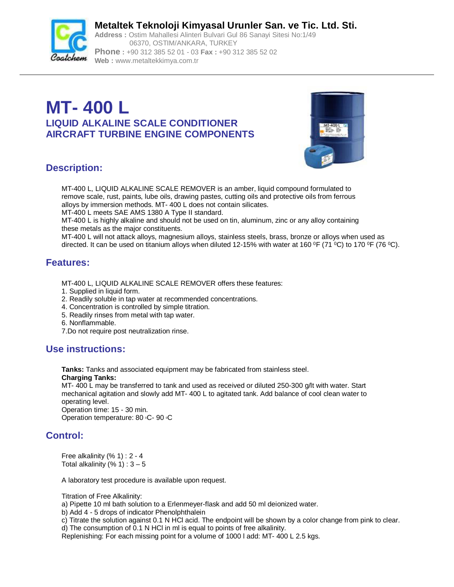

**Metaltek Teknoloji Kimyasal Urunler San. ve Tic. Ltd. Sti. Address :** Ostim Mahallesi Alinteri Bulvari Gul 86 Sanayi Sitesi No:1/49 06370, OSTIM/ANKARA, TURKEY **Phone :** +90 312 385 52 01 - 03 **Fax :** +90 312 385 52 02

**Web :** [www.metaltekkimya.com.tr](http://www.metaltekkimya.com.tr)

# **MT- 400 L LIQUID ALKALINE SCALE CONDITIONER AIRCRAFT TURBINE ENGINE COMPONENTS**



# **Description:**

MT-400 L, LIQUID ALKALINE SCALE REMOVER is an amber, liquid compound formulated to remove scale, rust, paints, lube oils, drawing pastes, cutting oils and protective oils from ferrous alloys by immersion methods. MT- 400 L does not contain silicates. MT-400 L meets SAE AMS 1380 A Type II standard.

MT-400 L is highly alkaline and should not be used on tin, aluminum, zinc or any alloy containing these metals as the major constituents.

MT-400 L will not attack alloys, magnesium alloys, stainless steels, brass, bronze or alloys when used as directed. It can be used on titanium alloys when diluted 12-15% with water at 160 °F (71 °C) to 170 °F (76 °C).

# **Features:**

MT-400 L, LIQUID ALKALINE SCALE REMOVER offers these features:

- 1. Supplied in liquid form.
- 2. Readily soluble in tap water at recommended concentrations.
- 4. Concentration is controlled by simple titration.
- 5. Readily rinses from metal with tap water.
- 6. Nonflammable.
- 7.Do not require post neutralization rinse.

# **Use instructions:**

**Tanks:** Tanks and associated equipment may be fabricated from stainless steel. **Charging Tanks:**

MT- 400 L may be transferred to tank and used as received or diluted 250-300 g/lt with water. Start mechanical agitation and slowly add MT- 400 L to agitated tank. Add balance of cool clean water to operating level.

Operation time: 15 - 30 min.

Operation temperature: 80 °C- 90 °C

# **Control:**

Free alkalinity (% 1) : 2 - 4 Total alkalinity  $(% 1): 3-5$ 

A laboratory test procedure is available upon request.

Titration of Free Alkalinity:

a) Pipette 10 ml bath solution to a Erlenmeyer-flask and add 50 ml deionized water.

b) Add 4 - 5 drops of indicator Phenolphthalein

c) Titrate the solution against 0.1 N HCl acid. The endpoint will be shown by a color change from pink to clear.

d) The consumption of 0.1 N HCl in ml is equal to points of free alkalinity.

Replenishing: For each missing point for a volume of 1000 l add: MT- 400 L 2.5 kgs.